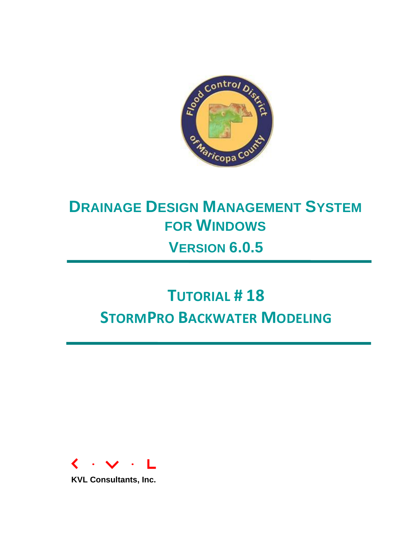

# **DRAINAGE DESIGN MANAGEMENT SYSTEM FOR WINDOWS VERSION 6.0.5**

# **TUTORIAL # 18 STORMPRO BACKWATER MODELING**



**KVL Consultants, Inc.**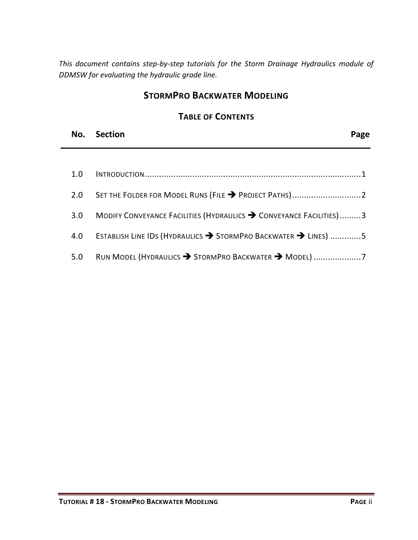*This document contains step-by-step tutorials for the Storm Drainage Hydraulics module of DDMSW for evaluating the hydraulic grade line.* 

## **STORMPRO BACKWATER MODELING**

## **TABLE OF CONTENTS**

| No. Section |  | Page |
|-------------|--|------|
|             |  |      |

| 1.0 |                                                                    |
|-----|--------------------------------------------------------------------|
| 2.0 |                                                                    |
| 3.0 | MODIFY CONVEYANCE FACILITIES (HYDRAULICS > CONVEYANCE FACILITIES)3 |
| 4.0 | ESTABLISH LINE IDS (HYDRAULICS > STORMPRO BACKWATER > LINES) 5     |
| 5.0 | RUN MODEL (HYDRAULICS → STORMPRO BACKWATER → MODEL) 7              |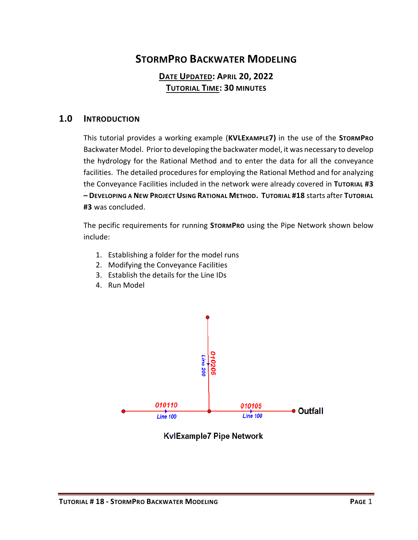# **STORMPRO BACKWATER MODELING**

## **DATE UPDATED: APRIL 20, 2022 TUTORIAL TIME: 30 MINUTES**

## <span id="page-2-0"></span>**1.0 INTRODUCTION**

This tutorial provides a working example (**KVLEXAMPLE7)** in the use of the **STORMPRO** Backwater Model. Prior to developing the backwater model, it was necessary to develop the hydrology for the Rational Method and to enter the data for all the conveyance facilities. The detailed procedures for employing the Rational Method and for analyzing the Conveyance Facilities included in the network were already covered in **TUTORIAL #3 – DEVELOPING A NEW PROJECT USING RATIONAL METHOD. TUTORIAL #18** starts after **TUTORIAL #3** was concluded.

The pecific requirements for running **STORMPRO** using the Pipe Network shown below include:

- 1. Establishing a folder for the model runs
- 2. Modifying the Conveyance Facilities
- 3. Establish the details for the Line IDs
- 4. Run Model



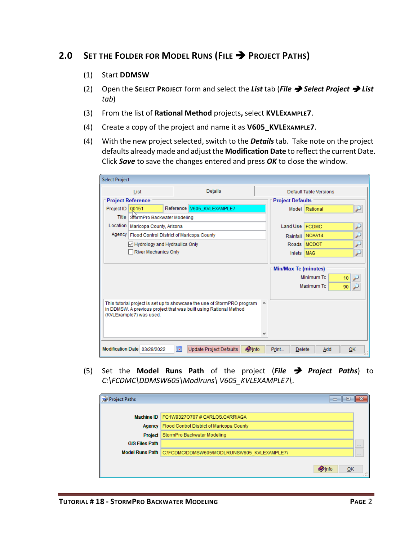# <span id="page-3-0"></span>**2.0 SET THE FOLDER FOR MODEL RUNS (FILE** ➔ **PROJECT PATHS)**

- (1) Start **DDMSW**
- (2) Open the **SELECT PROJECT** form and select the *List* tab (*File* ➔ *Select Project* ➔ *List tab*)
- (3) From the list of **Rational Method** projects**,** select **KVLEXAMPLE7**.
- (4) Create a copy of the project and name it as **V605\_KVLEXAMPLE7**.
- (4) With the new project selected, switch to the *Details* tab. Take note on the project defaults already made and adjust the **Modification Date** to reflect the current Date. Click *Save* to save the changes entered and press *OK* to close the window.

|              | List                                               | <b>Details</b>                                                             |                |                             | Default Table Versions |     |  |  |
|--------------|----------------------------------------------------|----------------------------------------------------------------------------|----------------|-----------------------------|------------------------|-----|--|--|
|              | <b>Project Reference</b>                           |                                                                            |                | <b>Project Defaults</b>     |                        |     |  |  |
|              |                                                    |                                                                            | Model Rational |                             |                        |     |  |  |
| Project ID   | 00151                                              | Reference   V605_KVLEXAMPLE7                                               |                |                             |                        | لنو |  |  |
| <b>Title</b> | StormPro Backwater Modeling                        |                                                                            |                |                             |                        |     |  |  |
| Location     | Maricopa County, Arizona                           |                                                                            |                | Land Use   FCDMC            |                        |     |  |  |
|              | Agency   Flood Control District of Maricopa County |                                                                            |                |                             | Rainfall NOAA14        |     |  |  |
|              | Hydrology and Hydraulics Only                      |                                                                            |                | Roads                       | <b>MCDOT</b>           |     |  |  |
|              | River Mechanics Only                               |                                                                            |                | <b>Inlets</b>               | <b>MAG</b>             |     |  |  |
|              |                                                    |                                                                            |                |                             |                        |     |  |  |
|              |                                                    |                                                                            |                | <b>Min/Max Tc (minutes)</b> |                        |     |  |  |
|              |                                                    |                                                                            |                |                             | Minimum Tc             | 10  |  |  |
|              |                                                    |                                                                            |                |                             | Maximum Tc             | 90  |  |  |
|              |                                                    |                                                                            |                |                             |                        |     |  |  |
|              |                                                    | This tutorial project is set up to showcase the use of StormPRO program    | ۸              |                             |                        |     |  |  |
|              |                                                    | in DDMSW. A previous project that was built using Rational Method          |                |                             |                        |     |  |  |
|              | (KVLExample7) was used.                            |                                                                            |                |                             |                        |     |  |  |
|              |                                                    |                                                                            |                |                             |                        |     |  |  |
|              |                                                    |                                                                            |                |                             |                        |     |  |  |
|              |                                                    |                                                                            |                |                             |                        |     |  |  |
|              | Modification Date 03/29/2022                       | $\overline{\phantom{a}}$<br><b>Olnfo</b><br><b>Update Project Defaults</b> |                | Print<br><b>Delete</b>      | Add                    | OK  |  |  |

(5) Set the **Model Runs Path** of the project (*File* ➔ *Project Paths*) to *C:\FCDMC\DDMSW605\Modlruns\ V605\_KVLEXAMPLE7\*.

| Project Paths          | E<br>$\Box$                                  | æ        |
|------------------------|----------------------------------------------|----------|
|                        |                                              |          |
|                        | Machine ID   FC1W93270707 # CARLOS.CARRIAGA  |          |
| Agency                 | Flood Control District of Maricopa County    |          |
| Project                | StormPro Backwater Modeling                  |          |
| <b>GIS Files Path</b>  |                                              | $\cdots$ |
| <b>Model Runs Path</b> | C:\FCDMC\DDMSW605\MODLRUNS\V605_KVLEXAMPLE7\ | $\cdots$ |
|                        |                                              |          |
|                        | <b>Olnfo</b><br>OK                           |          |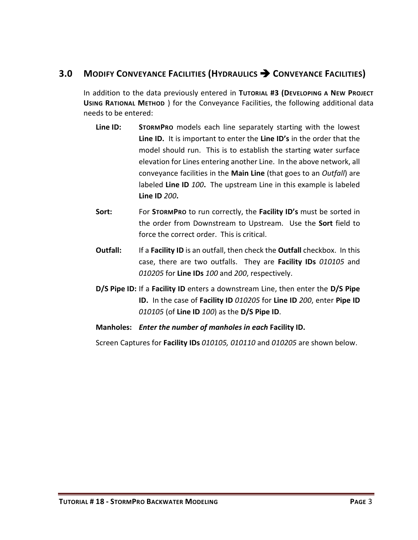## <span id="page-4-0"></span>**3.0 MODIFY CONVEYANCE FACILITIES (HYDRAULICS** ➔ **CONVEYANCE FACILITIES)**

In addition to the data previously entered in **TUTORIAL #3 (DEVELOPING A NEW PROJECT USING RATIONAL METHOD** ) for the Conveyance Facilities, the following additional data needs to be entered:

- **Line ID: STORMPRO** models each line separately starting with the lowest **Line ID.** It is important to enter the **Line ID's** in the order that the model should run. This is to establish the starting water surface elevation for Lines entering another Line. In the above network, all conveyance facilities in the **Main Line** (that goes to an *Outfall*) are labeled **Line ID** *100***.** The upstream Line in this example is labeled **Line ID** *200***.**
- **Sort:** For **STORMPRO** to run correctly, the **Facility ID's** must be sorted in the order from Downstream to Upstream.Use the **Sort** field to force the correct order. This is critical.
- **Outfall:** If a **Facility ID** is an outfall, then check the **Outfall** checkbox. In this case, there are two outfalls. They are **Facility IDs** *010105* and *010205* for **Line IDs** *100* and *200*, respectively.
- **D/S Pipe ID:** If a **Facility ID** enters a downstream Line, then enter the **D/S Pipe ID.** In the case of **Facility ID** *010205* for **Line ID** *200*, enter **Pipe ID** *010105* (of **Line ID** *100*) as the **D/S Pipe ID**.
- **Manholes:** *Enter the number of manholes in each* **Facility ID.**

Screen Captures for **Facility IDs** *010105, 010110* and *010205* are shown below.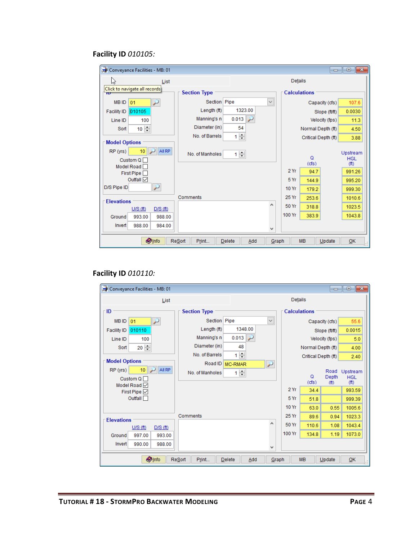## **Facility ID** *010105:*

| Conveyance Facilities - MB: 01<br>$\begin{array}{c c c c c c} \hline \multicolumn{3}{c }{\mathbf{C}} & \multicolumn{3}{c }{\mathbf{S}} & \multicolumn{3}{c }{\mathbf{S}} & \multicolumn{3}{c }{\mathbf{S}} & \multicolumn{3}{c }{\mathbf{S}} & \multicolumn{3}{c }{\mathbf{S}} & \multicolumn{3}{c }{\mathbf{S}} & \multicolumn{3}{c }{\mathbf{S}} & \multicolumn{3}{c }{\mathbf{S}} & \multicolumn{3}{c }{\mathbf{S}} & \multicolumn{3}{c }{\mathbf{S}} & \multicolumn{3}{c }{\mathbf$ |                                  |                         |                |                     |                |                                 |  |  |  |
|-----------------------------------------------------------------------------------------------------------------------------------------------------------------------------------------------------------------------------------------------------------------------------------------------------------------------------------------------------------------------------------------------------------------------------------------------------------------------------------------|----------------------------------|-------------------------|----------------|---------------------|----------------|---------------------------------|--|--|--|
| じ<br>List                                                                                                                                                                                                                                                                                                                                                                                                                                                                               |                                  |                         | <b>Details</b> |                     |                |                                 |  |  |  |
| Click to navigate all records<br>$\overline{\mathbf{D}}$                                                                                                                                                                                                                                                                                                                                                                                                                                | <b>Section Type</b>              |                         |                | <b>Calculations</b> |                |                                 |  |  |  |
| <b>MBID</b><br>01<br>ý.                                                                                                                                                                                                                                                                                                                                                                                                                                                                 | Section Pipe                     | $\checkmark$            |                |                     | Capacity (cfs) | 107.6                           |  |  |  |
| 010105<br><b>Facility ID</b>                                                                                                                                                                                                                                                                                                                                                                                                                                                            | Length (ft)                      | 1323.00                 |                |                     | Slope (ft/ft)  | 0.0030                          |  |  |  |
| 100<br>Line ID                                                                                                                                                                                                                                                                                                                                                                                                                                                                          | Manning's n                      | 0.013<br>لىز            |                |                     | Velocity (fps) | 11.3                            |  |  |  |
| $10 \div$<br>Sort                                                                                                                                                                                                                                                                                                                                                                                                                                                                       | Diameter (in)                    | 54                      |                | Normal Depth (ft)   |                | 4.50                            |  |  |  |
|                                                                                                                                                                                                                                                                                                                                                                                                                                                                                         | No. of Barrels                   | $1 \frac{1}{x}$         |                | Critical Depth (ft) |                | 3.88                            |  |  |  |
| <b>Model Options</b>                                                                                                                                                                                                                                                                                                                                                                                                                                                                    |                                  |                         |                |                     |                |                                 |  |  |  |
| All RP<br>10<br>RP (yrs)                                                                                                                                                                                                                                                                                                                                                                                                                                                                | No of Manholes                   | $1 \left  \div \right $ |                |                     |                | Upstream                        |  |  |  |
| Custom $Q \Box$                                                                                                                                                                                                                                                                                                                                                                                                                                                                         |                                  |                         |                | Q<br>(cfs)          |                | <b>HGL</b><br>(f <sup>t</sup> ) |  |  |  |
| Model Road<br>First Pipe                                                                                                                                                                                                                                                                                                                                                                                                                                                                |                                  |                         | 2Yr            | 94.7                |                | 991.26                          |  |  |  |
| Outfall $\boxed{\smile}$                                                                                                                                                                                                                                                                                                                                                                                                                                                                |                                  |                         | 5 Yr           | 144.9               |                | 995.20                          |  |  |  |
| لز<br>D/S Pipe ID                                                                                                                                                                                                                                                                                                                                                                                                                                                                       |                                  |                         | 10 Yr          | 179.2               |                | 999.30                          |  |  |  |
|                                                                                                                                                                                                                                                                                                                                                                                                                                                                                         | Comments                         |                         | 25 Yr          | 253.6               |                | 1010.6                          |  |  |  |
| <b>Elevations</b>                                                                                                                                                                                                                                                                                                                                                                                                                                                                       |                                  | ۸                       | 50 Yr          | 318.8               |                | 1023.5                          |  |  |  |
| U/S(ft)<br>D/S(f)<br>993.00<br>Ground<br>988.00                                                                                                                                                                                                                                                                                                                                                                                                                                         |                                  |                         | 100 Yr         | 383.9               |                | 1043.8                          |  |  |  |
| Invert<br>988.00<br>984.00                                                                                                                                                                                                                                                                                                                                                                                                                                                              |                                  |                         |                |                     |                |                                 |  |  |  |
|                                                                                                                                                                                                                                                                                                                                                                                                                                                                                         |                                  | v                       |                |                     |                |                                 |  |  |  |
| <b>Olnfo</b>                                                                                                                                                                                                                                                                                                                                                                                                                                                                            | <b>ReSort</b><br>Print<br>Delete | Add                     | Graph          | <b>MB</b>           | Update         | QK                              |  |  |  |

## **Facility ID** *010110:*

| Conveyance Facilities - MB: 01                           |                     |                                   |                          |                     |                     |                                    | $\begin{array}{c c c c c c} \hline \multicolumn{3}{c }{\mathbf{C}} & \multicolumn{3}{c }{\mathbf{S}} & \multicolumn{3}{c }{\mathbf{X}} \end{array}$ |
|----------------------------------------------------------|---------------------|-----------------------------------|--------------------------|---------------------|---------------------|------------------------------------|-----------------------------------------------------------------------------------------------------------------------------------------------------|
| List                                                     |                     | Details                           |                          |                     |                     |                                    |                                                                                                                                                     |
| ID                                                       | <b>Section Type</b> |                                   |                          | <b>Calculations</b> |                     |                                    |                                                                                                                                                     |
| <b>MBID</b><br>01<br>₽                                   | Section Pipe        |                                   | $\checkmark$             |                     |                     | Capacity (cfs)                     | 55.6                                                                                                                                                |
| 010110<br><b>Facility ID</b>                             | Length (ft)         | 1348.00                           |                          |                     |                     | Slope (ft/ft)                      | 0.0015                                                                                                                                              |
| 100<br>Line ID                                           | Manning's n         | 0.013<br>$\overline{\phantom{a}}$ |                          |                     |                     | Velocity (fps)                     | 5.0                                                                                                                                                 |
| $20 \div$<br>Sort                                        | Diameter (in)       | 48                                |                          |                     | Normal Depth (ft)   |                                    | 4.00                                                                                                                                                |
|                                                          | No. of Barrels      | $1 \frac{1}{2}$                   |                          |                     | Critical Depth (ft) |                                    | 2.40                                                                                                                                                |
| <b>Model Options</b>                                     | Road ID             | <b>MC-RMAR</b>                    | $\overline{\phantom{0}}$ |                     |                     |                                    |                                                                                                                                                     |
| All RP<br>RP (yrs)<br>10 <sub>1</sub><br>Custom $Q \Box$ | No. of Manholes     | $1\left  \div \right $            |                          |                     | Q<br>(cfs)          | Road<br>Depth<br>(f <sup>t</sup> ) | Upstream<br><b>HGL</b><br>(f <sup>t</sup> )                                                                                                         |
| Model Road √<br>First Pipe $\boxdot$                     |                     |                                   |                          | 2Yr                 | 34.4                |                                    | 993.59                                                                                                                                              |
| Outfall $\Box$                                           |                     |                                   |                          | 5 Yr                | 51.8                |                                    | 999.39                                                                                                                                              |
|                                                          |                     |                                   |                          | <b>10 Yr</b>        | 63.0                | 0.55                               | 1005.6                                                                                                                                              |
| <b>Elevations</b>                                        | Comments            |                                   |                          | 25 Yr               | 89.6                | 0.94                               | 1023.3                                                                                                                                              |
| U/S(f)<br>$D/S$ (ft)                                     |                     |                                   | ۸                        | 50 Yr               | 110.6               | 1.08                               | 1043.4                                                                                                                                              |
| 997.00<br>993.00<br>Ground                               |                     |                                   |                          | 100 Yr              | 134.8               | 1.19                               | 1073.0                                                                                                                                              |
| Invert<br>990.00<br>988.00                               |                     |                                   | v                        |                     |                     |                                    |                                                                                                                                                     |
| <b>Olnfo</b>                                             | ReSort<br>Print     | <b>Delete</b><br>Add              | Graph                    |                     | <b>MB</b>           | Update                             | QK                                                                                                                                                  |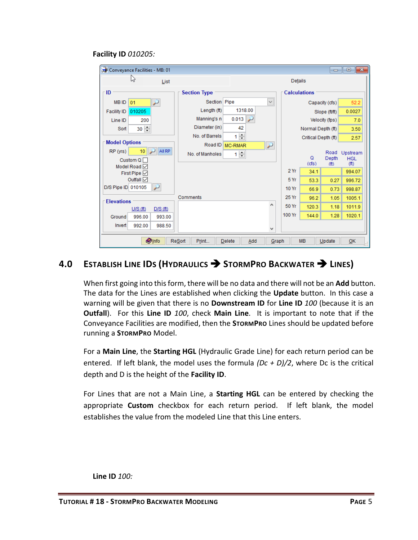#### **Facility ID** *010205:*

| Conveyance Facilities - MB: 01              |                                                                                      |                        |                          |                     |                     |                                     | $\Box$ $\Box$ $\mathbf{x}$                   |
|---------------------------------------------|--------------------------------------------------------------------------------------|------------------------|--------------------------|---------------------|---------------------|-------------------------------------|----------------------------------------------|
| じ<br>List                                   |                                                                                      |                        |                          | Details             |                     |                                     |                                              |
| ID                                          | <b>Section Type</b>                                                                  |                        |                          | <b>Calculations</b> |                     |                                     |                                              |
| <b>MBID</b><br>01<br>لىز                    | Section Pipe                                                                         |                        | $\checkmark$             |                     |                     | Capacity (cfs)                      | 52.2                                         |
| 010205<br><b>Facility ID</b>                | Length (ft)                                                                          | 1318.00                |                          |                     |                     | Slope (ft/ft)                       | 0.0027                                       |
| 200<br>Line ID                              | Manning's n                                                                          | 0.013                  |                          |                     |                     | Velocity (fps)                      | 7.0                                          |
| $30 \div$<br>Sort                           | Diameter (in)                                                                        | 42                     |                          |                     | Normal Depth (ft)   |                                     | 3.50                                         |
|                                             | No. of Barrels                                                                       | ÷<br>1                 |                          |                     | Critical Depth (ft) |                                     | 2.57                                         |
| <b>Model Options</b>                        | Road ID                                                                              | <b>MC-RMAR</b>         | $\overline{\phantom{0}}$ |                     |                     |                                     |                                              |
| All RP<br>10<br>RP (yrs)<br>Custom $Q \Box$ | No. of Manholes                                                                      | $1 \rightleftharpoons$ |                          |                     | Q<br>(cfs)          | Road<br>Depth<br>(f <sup>th</sup> ) | Upstream<br><b>HGL</b><br>(f <sup>th</sup> ) |
| Model Road<br>First Pipe $\boxdot$          |                                                                                      |                        |                          | 2Yr                 | 34.1                |                                     | 994.07                                       |
| Outfall $\boxed{\smile}$                    |                                                                                      |                        |                          | 5 Yr                | 53.3                | 0.27                                | 996.72                                       |
| D/S Pipe ID 010105                          |                                                                                      |                        |                          | 10 Yr               | 66.9                | 0.73                                | 998.87                                       |
| <b>Elevations</b>                           | Comments                                                                             |                        |                          | 25 Yr               | 96.2                | 1.05                                | 1005.1                                       |
| $U/S$ (ft)<br>D/S(f <sub>t</sub> )          |                                                                                      |                        | ۸                        | 50 Yr               | 120.3               | 1.18                                | 1011.9                                       |
| 996.00<br>993.00<br>Ground                  |                                                                                      |                        |                          | 100 Yr              | 144.0               | 1.28                                | 1020.1                                       |
| Invert<br>992.00<br>988.50                  |                                                                                      |                        | v                        |                     |                     |                                     |                                              |
| <b>Olnfo</b>                                | <b>ReSort</b><br>Print<br><b>MB</b><br>OK<br><b>Delete</b><br>Add<br>Graph<br>Update |                        |                          |                     |                     |                                     |                                              |

# <span id="page-6-0"></span>**4.0 ESTABLISH LINE IDS (HYDRAULICS** ➔ **STORMPRO BACKWATER** ➔ **LINES)**

When first going into this form, there will be no data and there will not be an **Add** button. The data for the Lines are established when clicking the **Update** button. In this case a warning will be given that there is no **Downstream ID** for **Line ID** *100* (because it is an **Outfall**). For this **Line ID** *100*, check **Main Line**. It is important to note that if the Conveyance Facilities are modified, then the **STORMPRO** Lines should be updated before running a **STORMPRO** Model.

For a **Main Line**, the **Starting HGL** (Hydraulic Grade Line) for each return period can be entered. If left blank, the model uses the formula *(Dc + D)/2*, where Dc is the critical depth and D is the height of the **Facility ID**.

For Lines that are not a Main Line, a **Starting HGL** can be entered by checking the appropriate **Custom** checkbox for each return period. If left blank, the model establishes the value from the modeled Line that this Line enters.

**Line ID** *100:*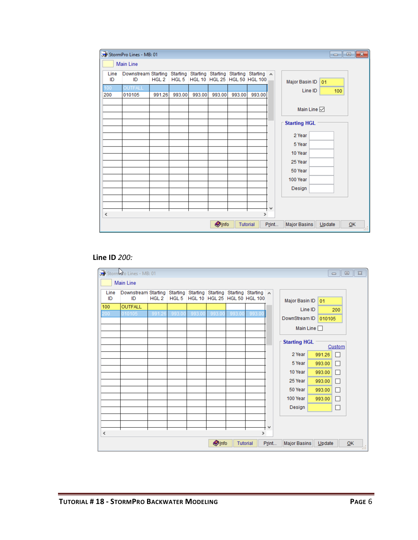|            | StormPro Lines - MB: 01<br>$\begin{array}{c c c c c c} \hline \multicolumn{3}{c }{\mathbf{C}} & \multicolumn{3}{c }{\mathbf{S}} & \multicolumn{3}{c }{\mathbf{S}} & \multicolumn{3}{c }{\mathbf{S}} & \multicolumn{3}{c }{\mathbf{S}} & \multicolumn{3}{c }{\mathbf{S}} & \multicolumn{3}{c }{\mathbf{S}} & \multicolumn{3}{c }{\mathbf{S}} & \multicolumn{3}{c }{\mathbf{S}} & \multicolumn{3}{c }{\mathbf{S}} & \multicolumn{3}{c }{\mathbf{S}} & \multicolumn{3}{c }{\mathbf$ |                  |        |        |               |        |                                    |       |                                                                |  |
|------------|----------------------------------------------------------------------------------------------------------------------------------------------------------------------------------------------------------------------------------------------------------------------------------------------------------------------------------------------------------------------------------------------------------------------------------------------------------------------------------|------------------|--------|--------|---------------|--------|------------------------------------|-------|----------------------------------------------------------------|--|
|            | <b>Main Line</b>                                                                                                                                                                                                                                                                                                                                                                                                                                                                 |                  |        |        |               |        |                                    |       |                                                                |  |
| Line<br>ID | Downstream Starting Starting Starting Starting Starting Starting A<br>ID                                                                                                                                                                                                                                                                                                                                                                                                         | HGL <sub>2</sub> |        |        |               |        | HGL 5 HGL 10 HGL 25 HGL 50 HGL 100 |       | Major Basin ID 01                                              |  |
| 100        | OUTFALL                                                                                                                                                                                                                                                                                                                                                                                                                                                                          |                  |        |        |               |        |                                    |       | Line ID<br>100                                                 |  |
| 200        | 010105                                                                                                                                                                                                                                                                                                                                                                                                                                                                           | 991.26           | 993.00 | 993.00 | 993.00        | 993.00 | 993.00                             |       |                                                                |  |
|            |                                                                                                                                                                                                                                                                                                                                                                                                                                                                                  |                  |        |        |               |        |                                    |       | Main Line $\boxdot$<br><b>Starting HGL</b><br>2 Year<br>5 Year |  |
|            |                                                                                                                                                                                                                                                                                                                                                                                                                                                                                  |                  |        |        |               |        |                                    |       | 10 Year<br>25 Year                                             |  |
|            |                                                                                                                                                                                                                                                                                                                                                                                                                                                                                  |                  |        |        |               |        |                                    |       | 50 Year                                                        |  |
|            |                                                                                                                                                                                                                                                                                                                                                                                                                                                                                  |                  |        |        |               |        |                                    |       | 100 Year                                                       |  |
|            |                                                                                                                                                                                                                                                                                                                                                                                                                                                                                  |                  |        |        |               |        |                                    |       | Design                                                         |  |
|            |                                                                                                                                                                                                                                                                                                                                                                                                                                                                                  |                  |        |        |               |        |                                    |       |                                                                |  |
|            |                                                                                                                                                                                                                                                                                                                                                                                                                                                                                  |                  |        |        |               |        |                                    | ٧     |                                                                |  |
| $\,<$      |                                                                                                                                                                                                                                                                                                                                                                                                                                                                                  |                  |        |        |               |        | $\rightarrow$                      |       |                                                                |  |
|            |                                                                                                                                                                                                                                                                                                                                                                                                                                                                                  |                  |        |        | <b>O</b> Info |        | <b>Tutorial</b>                    | Print | <b>Major Basins</b><br>QK<br>Update<br>53                      |  |

#### **Line ID** *200:*

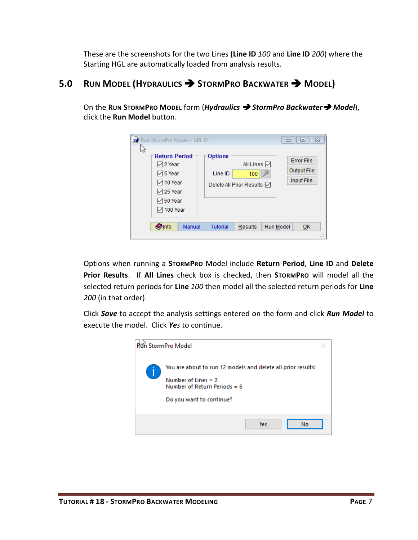These are the screenshots for the two Lines **(Line ID** *100* and **Line ID** *200*) where the Starting HGL are automatically loaded from analysis results.

# <span id="page-8-0"></span>**5.0 RUN MODEL (HYDRAULICS** ➔ **STORMPRO BACKWATER** ➔ **MODEL)**

On the **RUN STORMPRO MODEL** form (*Hydraulics* ➔ *StormPro Backwater*➔ *Model*), click the **Run Model** button.

| じ | Run StormPro Model - MB: 01                                                                                             |                                                                                | $\Sigma$<br>▣                                  |
|---|-------------------------------------------------------------------------------------------------------------------------|--------------------------------------------------------------------------------|------------------------------------------------|
|   | <b>Return Period</b><br>12 Year<br>$\boxdot$ 5 Year<br>☑ 10 Year<br>$\sqrt{25}$ Year<br>$\boxdot$ 50 Year<br>◯ 100 Year | <b>Options</b><br>All Lines [기<br>Line ID<br>100<br>Delete All Prior Results ☑ | <b>Error File</b><br>Output File<br>Input File |
|   | <b>O</b> Info<br>Manual                                                                                                 | <b>Tutorial</b><br><b>Results</b>                                              | <b>Run Model</b><br>OK<br>$\mathbf{r}$         |

Options when running a **STORMPRO** Model include **Return Period**, **Line ID** and **Delete Prior Results**. If **All Lines** check box is checked, then **STORMPRO** will model all the selected return periods for **Line** *100* then model all the selected return periods for **Line** *200* (in that order).

Click *Save* to accept the analysis settings entered on the form and click *Run Model* to execute the model. Click *Yes* to continue.

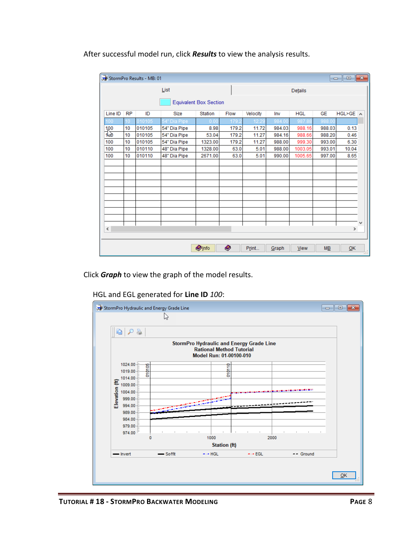After successful model run, click *Results* to view the analysis results.

|                   | $\begin{array}{c c c c c c} \hline \multicolumn{3}{c }{\mathbf{C}} & \multicolumn{3}{c }{\mathbf{S}} & \multicolumn{3}{c }{\mathbf{X}} \end{array}$<br>StormPro Results - MB: 01 |        |              |                |       |          |        |            |                  |               |   |
|-------------------|----------------------------------------------------------------------------------------------------------------------------------------------------------------------------------|--------|--------------|----------------|-------|----------|--------|------------|------------------|---------------|---|
|                   |                                                                                                                                                                                  |        | List         |                |       |          |        | Details    |                  |               |   |
|                   | <b>Equivalent Box Section</b>                                                                                                                                                    |        |              |                |       |          |        |            |                  |               |   |
| Line ID           | <b>RP</b>                                                                                                                                                                        | ID     | Size         | <b>Station</b> | Flow  | Velocity | Inv    | <b>HGL</b> | <b>GE</b>        | HGL>GE A      |   |
| 100               | 10                                                                                                                                                                               | 010105 | Dia Pipe     | 0.00           | 179   | 12.2     | 984.0  | 987.       | 988.0            |               |   |
|                   | 10                                                                                                                                                                               | 010105 | 54" Dia Pipe | 8.98           | 179.2 | 11.72    | 984.03 | 988.16     | 988.03           | 0.13          |   |
| $\frac{100}{100}$ | 10                                                                                                                                                                               | 010105 | 54" Dia Pipe | 53.04          | 179.2 | 11.27    | 984.16 | 988.66     | 988.20           | 0.46          |   |
| 100               | 10                                                                                                                                                                               | 010105 | 54" Dia Pipe | 1323.00        | 179.2 | 11.27    | 988.00 | 999.30     | 993.00           | 6.30          |   |
| 100               | 10                                                                                                                                                                               | 010110 | 48" Dia Pipe | 1328.00        | 63.0  | 5.01     | 988.00 | 1003.05    | 993.01           | 10.04         |   |
| 100               | 10                                                                                                                                                                               | 010110 | 48" Dia Pipe | 2671.00        | 63.0  | 5.01     | 990.00 | 1005.65    | 997.00           | 8.65          |   |
|                   |                                                                                                                                                                                  |        |              |                |       |          |        |            |                  |               |   |
|                   |                                                                                                                                                                                  |        |              |                |       |          |        |            |                  |               |   |
|                   |                                                                                                                                                                                  |        |              |                |       |          |        |            |                  |               |   |
|                   |                                                                                                                                                                                  |        |              |                |       |          |        |            |                  |               |   |
|                   |                                                                                                                                                                                  |        |              |                |       |          |        |            |                  |               |   |
|                   |                                                                                                                                                                                  |        |              |                |       |          |        |            |                  |               |   |
|                   |                                                                                                                                                                                  |        |              |                |       |          |        |            |                  |               |   |
|                   |                                                                                                                                                                                  |        |              |                |       |          |        |            |                  |               |   |
|                   |                                                                                                                                                                                  |        |              |                |       |          |        |            |                  |               |   |
| $\checkmark$      |                                                                                                                                                                                  |        |              |                |       |          |        |            |                  | $\rightarrow$ | v |
|                   |                                                                                                                                                                                  |        |              |                |       |          |        |            |                  |               |   |
|                   |                                                                                                                                                                                  |        |              |                |       |          |        |            |                  |               |   |
|                   |                                                                                                                                                                                  |        |              | <b>O</b> Info  | O     | Print    | Graph  | View       | $M\underline{B}$ | QK            | 넒 |

Click *Graph* to view the graph of the model results.

## HGL and EGL generated for **Line ID** *100*:

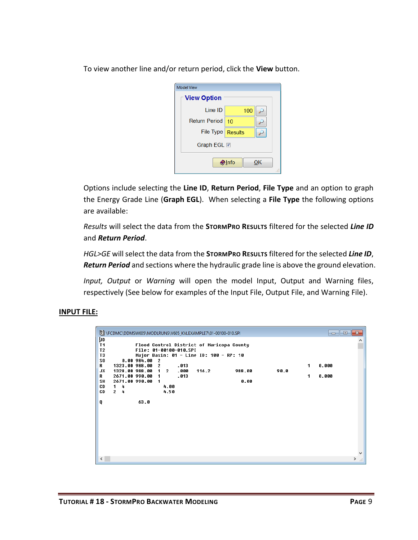To view another line and/or return period, click the **View** button.

| <b>Model View</b>    |                 |    |
|----------------------|-----------------|----|
| <b>View Option</b>   |                 |    |
| Line ID              | 100             |    |
| <b>Return Period</b> | 10              |    |
| File Type   Results  |                 |    |
| Graph EGL <b>M</b>   |                 |    |
|                      | $\bigcirc$ Info | ОΚ |

Options include selecting the **Line ID**, **Return Period**, **File Type** and an option to graph the Energy Grade Line (**Graph EGL**). When selecting a **File Type** the following options are available:

*Results* will select the data from the **STORMPRO RESULTS** filtered for the selected *Line ID* and *Return Period*.

*HGL>GE* will select the data from the **STORMPRO RESULTS** filtered for the selected *Line ID*, *Return Period* and sections where the hydraulic grade line is above the ground elevation.

*Input, Output* or *Warning* will open the model Input, Output and Warning files, respectively (See below for examples of the Input File, Output File, and Warning File).

#### **INPUT FILE:**

|                                                                                                                   | 图 \FCDMC\DDMSW605\MODLRUNS\V605_KVLEXAMPLE7\01-00100-010.SPI                                |                                                                                                                                                        |       |                |      |          |                |                                      |
|-------------------------------------------------------------------------------------------------------------------|---------------------------------------------------------------------------------------------|--------------------------------------------------------------------------------------------------------------------------------------------------------|-------|----------------|------|----------|----------------|--------------------------------------|
| <b>UD</b><br>T <sub>1</sub><br>T <sub>2</sub><br>T <sub>3</sub><br><b>SO</b><br>R.<br><b>JX</b><br>R<br><b>SH</b> | 0.00984.002<br>1323.00 988.00 2<br>1328.00 988.00 1 2<br>2671.00 990.00 1<br>2671.00 990.00 | Flood Control District of Maricopa County<br>File: 01-00100-010.SPI<br>Major Basin: 01 - Line ID: 100 - RP: 10<br>.013<br>.000<br>.013<br>$\mathbf{1}$ | 116.2 | 988.00<br>0.00 | 90.0 | 1.<br>1. | 0.000<br>0.000 |                                      |
| <b>CD</b><br><b>CD</b><br>Q                                                                                       | 4<br>1.<br>$\overline{2}$<br>4<br>63.0                                                      | 4.00<br>4.50                                                                                                                                           |       |                |      |          |                |                                      |
| $\langle$                                                                                                         |                                                                                             |                                                                                                                                                        |       |                |      |          |                | $\checkmark$<br>$\rightarrow$<br>al. |